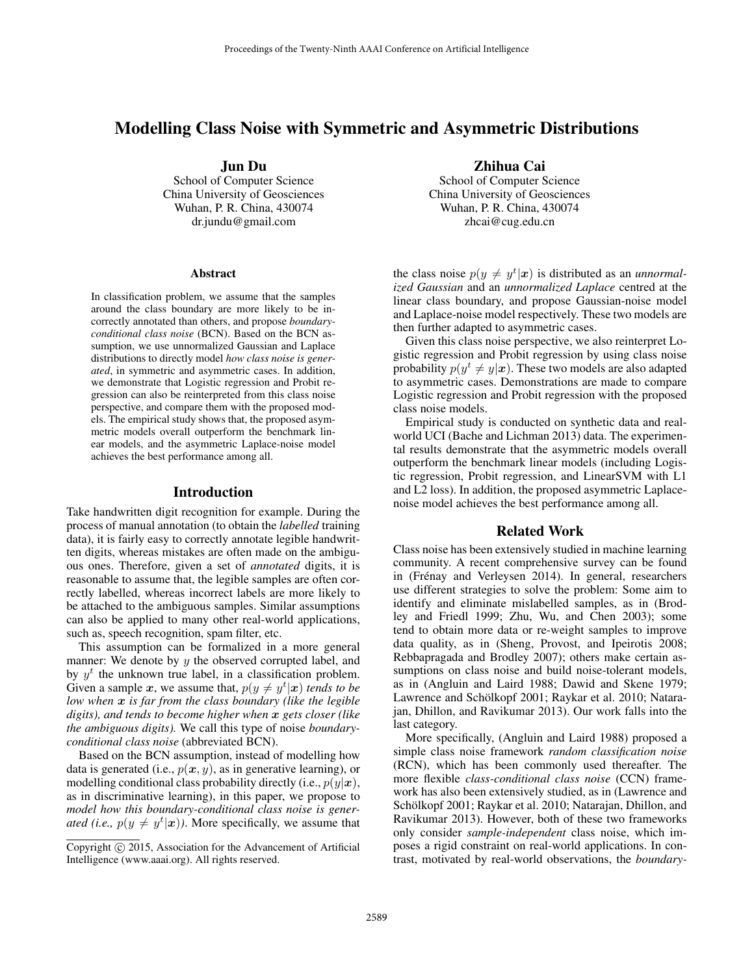# Modelling Class Noise with Symmetric and Asymmetric Distributions

Jun Du

School of Computer Science China University of Geosciences Wuhan, P. R. China, 430074 dr.jundu@gmail.com

#### Abstract

In classification problem, we assume that the samples around the class boundary are more likely to be incorrectly annotated than others, and propose *boundaryconditional class noise* (BCN). Based on the BCN assumption, we use unnormalized Gaussian and Laplace distributions to directly model *how class noise is generated*, in symmetric and asymmetric cases. In addition, we demonstrate that Logistic regression and Probit regression can also be reinterpreted from this class noise perspective, and compare them with the proposed models. The empirical study shows that, the proposed asymmetric models overall outperform the benchmark linear models, and the asymmetric Laplace-noise model achieves the best performance among all.

#### Introduction

Take handwritten digit recognition for example. During the process of manual annotation (to obtain the *labelled* training data), it is fairly easy to correctly annotate legible handwritten digits, whereas mistakes are often made on the ambiguous ones. Therefore, given a set of *annotated* digits, it is reasonable to assume that, the legible samples are often correctly labelled, whereas incorrect labels are more likely to be attached to the ambiguous samples. Similar assumptions can also be applied to many other real-world applications, such as, speech recognition, spam filter, etc.

This assumption can be formalized in a more general manner: We denote by  $y$  the observed corrupted label, and by  $y^t$  the unknown true label, in a classification problem. Given a sample x, we assume that,  $p(y \neq y^t | x)$  *tends to be low when* x *is far from the class boundary (like the legible digits), and tends to become higher when* x *gets closer (like the ambiguous digits).* We call this type of noise *boundaryconditional class noise* (abbreviated BCN).

Based on the BCN assumption, instead of modelling how data is generated (i.e.,  $p(x, y)$ , as in generative learning), or modelling conditional class probability directly (i.e.,  $p(y|x)$ , as in discriminative learning), in this paper, we propose to *model how this boundary-conditional class noise is generated (i.e.,*  $p(y \neq y^t | \boldsymbol{x})$ *).* More specifically, we assume that

## Zhihua Cai

School of Computer Science China University of Geosciences Wuhan, P. R. China, 430074 zhcai@cug.edu.cn

the class noise  $p(y \neq y^t | \mathbf{x})$  is distributed as an *unnormalized Gaussian* and an *unnormalized Laplace* centred at the linear class boundary, and propose Gaussian-noise model and Laplace-noise model respectively. These two models are then further adapted to asymmetric cases.

Given this class noise perspective, we also reinterpret Logistic regression and Probit regression by using class noise probability  $p(y^t \neq y | x)$ . These two models are also adapted to asymmetric cases. Demonstrations are made to compare Logistic regression and Probit regression with the proposed class noise models.

Empirical study is conducted on synthetic data and realworld UCI (Bache and Lichman 2013) data. The experimental results demonstrate that the asymmetric models overall outperform the benchmark linear models (including Logistic regression, Probit regression, and LinearSVM with L1 and L2 loss). In addition, the proposed asymmetric Laplacenoise model achieves the best performance among all.

# Related Work

Class noise has been extensively studied in machine learning community. A recent comprehensive survey can be found in (Frénay and Verleysen 2014). In general, researchers use different strategies to solve the problem: Some aim to identify and eliminate mislabelled samples, as in (Brodley and Friedl 1999; Zhu, Wu, and Chen 2003); some tend to obtain more data or re-weight samples to improve data quality, as in (Sheng, Provost, and Ipeirotis 2008; Rebbapragada and Brodley 2007); others make certain assumptions on class noise and build noise-tolerant models, as in (Angluin and Laird 1988; Dawid and Skene 1979; Lawrence and Schölkopf 2001; Raykar et al. 2010; Natarajan, Dhillon, and Ravikumar 2013). Our work falls into the last category.

More specifically, (Angluin and Laird 1988) proposed a simple class noise framework *random classification noise* (RCN), which has been commonly used thereafter. The more flexible *class-conditional class noise* (CCN) framework has also been extensively studied, as in (Lawrence and Schölkopf 2001; Raykar et al. 2010; Natarajan, Dhillon, and Ravikumar 2013). However, both of these two frameworks only consider *sample-independent* class noise, which imposes a rigid constraint on real-world applications. In contrast, motivated by real-world observations, the *boundary-*

Copyright  $\odot$  2015, Association for the Advancement of Artificial Intelligence (www.aaai.org). All rights reserved.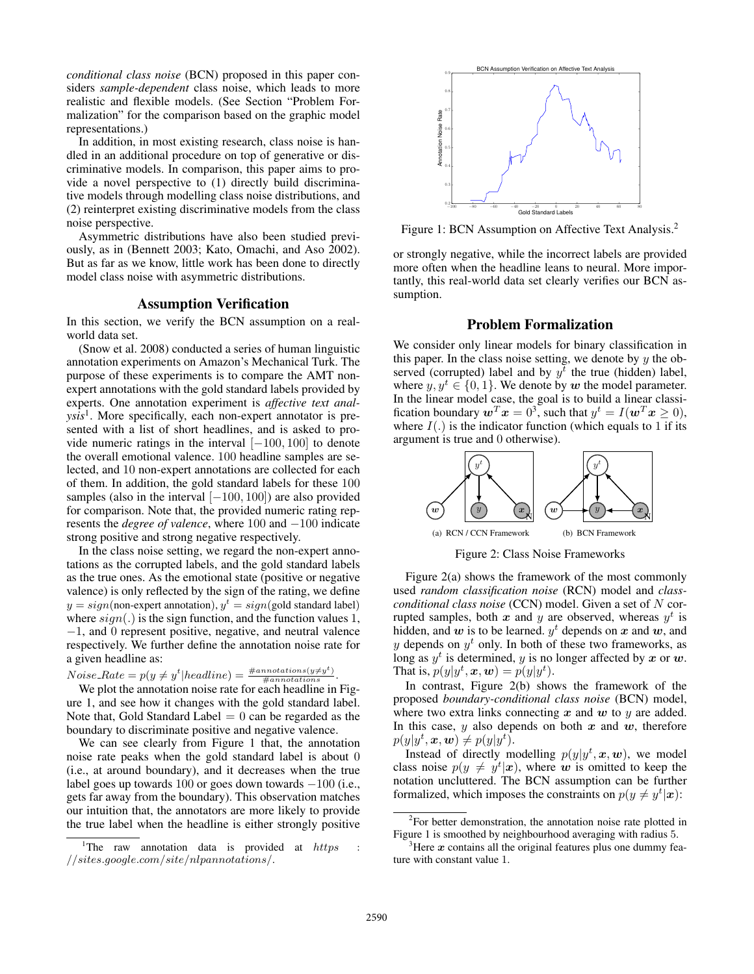*conditional class noise* (BCN) proposed in this paper considers *sample-dependent* class noise, which leads to more realistic and flexible models. (See Section "Problem Formalization" for the comparison based on the graphic model representations.)

In addition, in most existing research, class noise is handled in an additional procedure on top of generative or discriminative models. In comparison, this paper aims to provide a novel perspective to (1) directly build discriminative models through modelling class noise distributions, and (2) reinterpret existing discriminative models from the class noise perspective.

Asymmetric distributions have also been studied previously, as in (Bennett 2003; Kato, Omachi, and Aso 2002). But as far as we know, little work has been done to directly model class noise with asymmetric distributions.

#### Assumption Verification

In this section, we verify the BCN assumption on a realworld data set.

(Snow et al. 2008) conducted a series of human linguistic annotation experiments on Amazon's Mechanical Turk. The purpose of these experiments is to compare the AMT nonexpert annotations with the gold standard labels provided by experts. One annotation experiment is *affective text analysis*<sup>1</sup> . More specifically, each non-expert annotator is presented with a list of short headlines, and is asked to provide numeric ratings in the interval  $[-100, 100]$  to denote the overall emotional valence. 100 headline samples are selected, and 10 non-expert annotations are collected for each of them. In addition, the gold standard labels for these 100 samples (also in the interval  $[-100, 100]$ ) are also provided for comparison. Note that, the provided numeric rating represents the *degree of valence*, where 100 and −100 indicate strong positive and strong negative respectively.

In the class noise setting, we regard the non-expert annotations as the corrupted labels, and the gold standard labels as the true ones. As the emotional state (positive or negative valence) is only reflected by the sign of the rating, we define  $y = sign($ non-expert annotation),  $y^t = sign($  gold standard label) where  $sign(.)$  is the sign function, and the function values 1, −1, and 0 represent positive, negative, and neutral valence respectively. We further define the annotation noise rate for a given headline as:

 $Noise\_Rate = p(y \neq y^t | head line) = \frac{\# annotations(y \neq y^t)}{\# annotations}.$ 

We plot the annotation noise rate for each headline in Figure 1, and see how it changes with the gold standard label. Note that, Gold Standard Label  $= 0$  can be regarded as the boundary to discriminate positive and negative valence.

We can see clearly from Figure 1 that, the annotation noise rate peaks when the gold standard label is about 0 (i.e., at around boundary), and it decreases when the true label goes up towards 100 or goes down towards −100 (i.e., gets far away from the boundary). This observation matches our intuition that, the annotators are more likely to provide the true label when the headline is either strongly positive



Figure 1: BCN Assumption on Affective Text Analysis.<sup>2</sup>

or strongly negative, while the incorrect labels are provided more often when the headline leans to neural. More importantly, this real-world data set clearly verifies our BCN assumption.

## Problem Formalization

We consider only linear models for binary classification in this paper. In the class noise setting, we denote by  $y$  the observed (corrupted) label and by  $y^{\bar{t}}$  the true (hidden) label, where  $y, y^t \in \{0, 1\}$ . We denote by w the model parameter. In the linear model case, the goal is to build a linear classification boundary  $w^T x = 0^3$ , such that  $y^t = I(w^T x \ge 0)$ , where  $I(.)$  is the indicator function (which equals to 1 if its argument is true and 0 otherwise).



Figure 2: Class Noise Frameworks

Figure 2(a) shows the framework of the most commonly used *random classification noise* (RCN) model and *classconditional class noise* (CCN) model. Given a set of N corrupted samples, both  $x$  and  $y$  are observed, whereas  $y^t$  is hidden, and w is to be learned.  $y^t$  depends on x and w, and y depends on  $y<sup>t</sup>$  only. In both of these two frameworks, as long as  $y^t$  is determined, y is no longer affected by x or w. That is,  $p(y|y^t, \mathbf{x}, \mathbf{w}) = p(y|y^t)$ .

In contrast, Figure 2(b) shows the framework of the proposed *boundary-conditional class noise* (BCN) model, where two extra links connecting  $x$  and  $w$  to  $y$  are added. In this case, y also depends on both  $x$  and  $w$ , therefore  $p(y|y^t, \boldsymbol{x}, \boldsymbol{w}) \neq p(y|y^t).$ 

Instead of directly modelling  $p(y|y^t, x, w)$ , we model class noise  $p(y \neq y^t | x)$ , where w is omitted to keep the notation uncluttered. The BCN assumption can be further formalized, which imposes the constraints on  $p(y \neq y^t | x)$ :

<sup>&</sup>lt;sup>1</sup>The raw annotation data is provided at  $https:$ //sites.google.com/site/nlpannotations/.

 $2$ For better demonstration, the annotation noise rate plotted in Figure 1 is smoothed by neighbourhood averaging with radius 5.

<sup>&</sup>lt;sup>3</sup>Here  $x$  contains all the original features plus one dummy feature with constant value 1.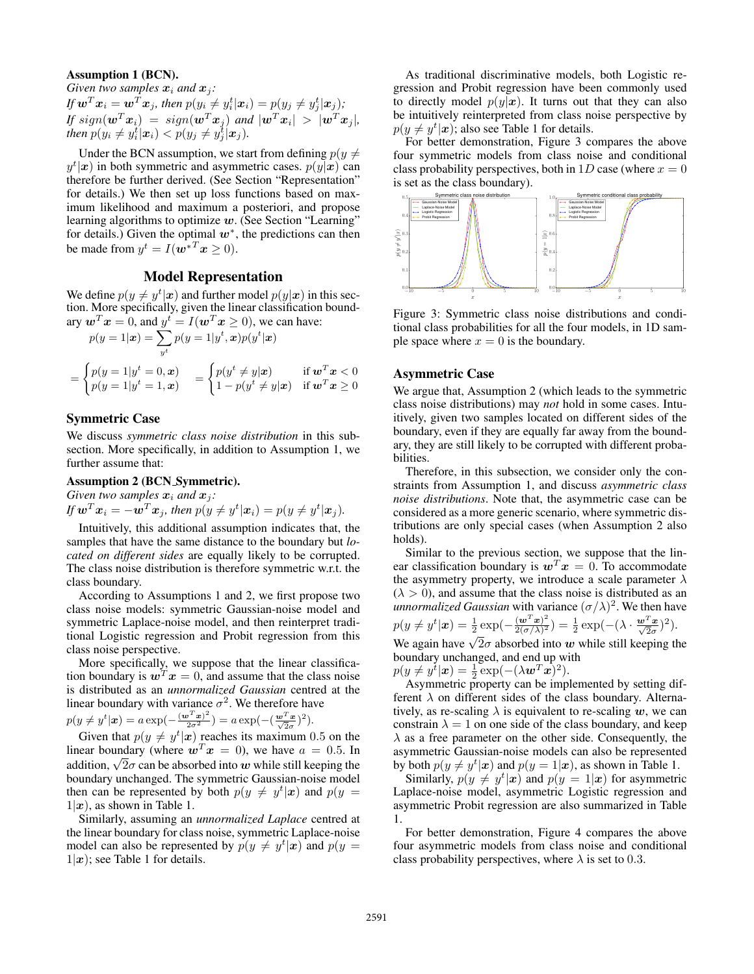#### Assumption 1 (BCN).

*Given two samples*  $x_i$  *and*  $x_j$ *: If*  $\boldsymbol{w}^T \boldsymbol{x}_i = \boldsymbol{w}^T \boldsymbol{x}_j$ , then  $p(y_i \neq y_i^t | \boldsymbol{x}_i) = p(y_j \neq y_j^t | \boldsymbol{x}_j)$ ;  $\partial f$  sign( $\boldsymbol{w}^T \boldsymbol{x}_i$ ) = sign( $\boldsymbol{w}^T \boldsymbol{x}_j$ ) and  $|\boldsymbol{w}^T \boldsymbol{x}_i| > |\boldsymbol{w}^T \boldsymbol{x}_j|$ , then  $p(y_i \neq y_i^t | \boldsymbol{x}_i) < p(y_j \neq y_j^t | \boldsymbol{x}_j)$ .

Under the BCN assumption, we start from defining  $p(y \neq 0)$  $y^t|x|$  in both symmetric and asymmetric cases.  $p(y|x)$  can therefore be further derived. (See Section "Representation" for details.) We then set up loss functions based on maximum likelihood and maximum a posteriori, and propose learning algorithms to optimize  $w$ . (See Section "Learning" for details.) Given the optimal  $w^*$ , the predictions can then be made from  $y^t = I(\boldsymbol{w}^{*T}\boldsymbol{x} \ge 0)$ .

# Model Representation

We define  $p(y \neq y^t | x)$  and further model  $p(y|x)$  in this section. More specifically, given the linear classification boundary  $\boldsymbol{w}^T\boldsymbol{x} = 0$ , and  $\boldsymbol{y}^t = I(\boldsymbol{w}^T\boldsymbol{x} \ge 0)$ , we can have:

$$
p(y=1|\mathbf{x}) = \sum_{y^t} p(y=1|y^t, \mathbf{x})p(y^t|\mathbf{x})
$$
  
= 
$$
\begin{cases} p(y=1|y^t=0, \mathbf{x}) \\ p(y=1|y^t=1, \mathbf{x}) \end{cases} = \begin{cases} p(y^t \neq y|\mathbf{x}) & \text{if } \mathbf{w}^T \mathbf{x} < 0 \\ 1 - p(y^t \neq y|\mathbf{x}) & \text{if } \mathbf{w}^T \mathbf{x} \ge 0 \end{cases}
$$

### Symmetric Case

We discuss *symmetric class noise distribution* in this subsection. More specifically, in addition to Assumption 1, we further assume that:

## Assumption 2 (BCN Symmetric).

*Given two samples*  $x_i$  *and*  $x_j$ *:* 

If 
$$
\mathbf{w}^T \mathbf{x}_i = -\mathbf{w}^T \mathbf{x}_j
$$
, then  $p(y \neq y^t | \mathbf{x}_i) = p(y \neq y^t | \mathbf{x}_j)$ .

Intuitively, this additional assumption indicates that, the samples that have the same distance to the boundary but *located on different sides* are equally likely to be corrupted. The class noise distribution is therefore symmetric w.r.t. the class boundary.

According to Assumptions 1 and 2, we first propose two class noise models: symmetric Gaussian-noise model and symmetric Laplace-noise model, and then reinterpret traditional Logistic regression and Probit regression from this class noise perspective.

More specifically, we suppose that the linear classification boundary is  $\mathbf{w}^T \mathbf{x} = 0$ , and assume that the class noise is distributed as an *unnormalized Gaussian* centred at the linear boundary with variance  $\sigma^2$ . We therefore have

$$
p(y \neq y^t | \mathbf{x}) = a \exp(-\frac{(\mathbf{w}^T \mathbf{x})^2}{2\sigma^2}) = a \exp(-\frac{(\mathbf{w}^T \mathbf{x})^2}{\sqrt{2}\sigma})^2).
$$

Given that  $p(y \neq y^t | \mathbf{x})$  reaches its maximum 0.5 on the linear boundary (where  $w^T x = 0$ ), we have  $a = 0.5$ . In addition,  $\sqrt{2}\sigma$  can be absorbed into w while still keeping the boundary unchanged. The symmetric Gaussian-noise model then can be represented by both  $p(y \neq y^t | x)$  and  $p(y =$  $1|x|$ , as shown in Table 1.

Similarly, assuming an *unnormalized Laplace* centred at the linear boundary for class noise, symmetric Laplace-noise model can also be represented by  $p(y \neq y^t | \mathbf{x})$  and  $p(y =$  $1|x|$ ; see Table 1 for details.

As traditional discriminative models, both Logistic regression and Probit regression have been commonly used to directly model  $p(y|x)$ . It turns out that they can also be intuitively reinterpreted from class noise perspective by  $p(y \neq y^t | \boldsymbol{x})$ ; also see Table 1 for details.

For better demonstration, Figure 3 compares the above four symmetric models from class noise and conditional class probability perspectives, both in 1D case (where  $x = 0$ is set as the class boundary).



Figure 3: Symmetric class noise distributions and conditional class probabilities for all the four models, in 1D sample space where  $x = 0$  is the boundary.

#### Asymmetric Case

We argue that, Assumption 2 (which leads to the symmetric class noise distributions) may *not* hold in some cases. Intuitively, given two samples located on different sides of the boundary, even if they are equally far away from the boundary, they are still likely to be corrupted with different probabilities.

Therefore, in this subsection, we consider only the constraints from Assumption 1, and discuss *asymmetric class noise distributions*. Note that, the asymmetric case can be considered as a more generic scenario, where symmetric distributions are only special cases (when Assumption 2 also holds).

Similar to the previous section, we suppose that the linear classification boundary is  $w^T x = 0$ . To accommodate the asymmetry property, we introduce a scale parameter  $\lambda$  $(\lambda > 0)$ , and assume that the class noise is distributed as an *unnormalized Gaussian* with variance  $(\sigma/\lambda)^2$ . We then have  $p(y \neq y^t | \boldsymbol{x}) = \frac{1}{2} \exp(-\frac{(\boldsymbol{w}^T \boldsymbol{x})^2}{2(\sigma/\lambda)^2})$  $\frac{(\boldsymbol{w}^T\boldsymbol{x})^2}{2(\sigma/\lambda)^2}) = \frac{1}{2}\exp(-(\lambda\cdot\frac{\boldsymbol{w}^T\boldsymbol{x}}{\sqrt{2}\sigma})^2).$ We again have  $\sqrt{2}\sigma$  absorbed into w while still keeping the

boundary unchanged, and end up with t 2

$$
p(y \neq y^t | \mathbf{x}) = \frac{1}{2} \exp(-(\lambda \mathbf{w}^T \mathbf{x})^2).
$$

 $p(y \neq y^{\tilde{t}} | \boldsymbol{x}) = \frac{1}{2} \exp(-(\lambda \boldsymbol{w}^T \boldsymbol{x})^2).$ <br>Asymmetric property can be implemented by setting different  $\lambda$  on different sides of the class boundary. Alternatively, as re-scaling  $\lambda$  is equivalent to re-scaling w, we can constrain  $\lambda = 1$  on one side of the class boundary, and keep  $\lambda$  as a free parameter on the other side. Consequently, the asymmetric Gaussian-noise models can also be represented by both  $p(y \neq y^t | x)$  and  $p(y = 1 | x)$ , as shown in Table 1.

Similarly,  $p(y \neq y^t | x)$  and  $p(y = 1 | x)$  for asymmetric Laplace-noise model, asymmetric Logistic regression and asymmetric Probit regression are also summarized in Table 1.

For better demonstration, Figure 4 compares the above four asymmetric models from class noise and conditional class probability perspectives, where  $\lambda$  is set to 0.3.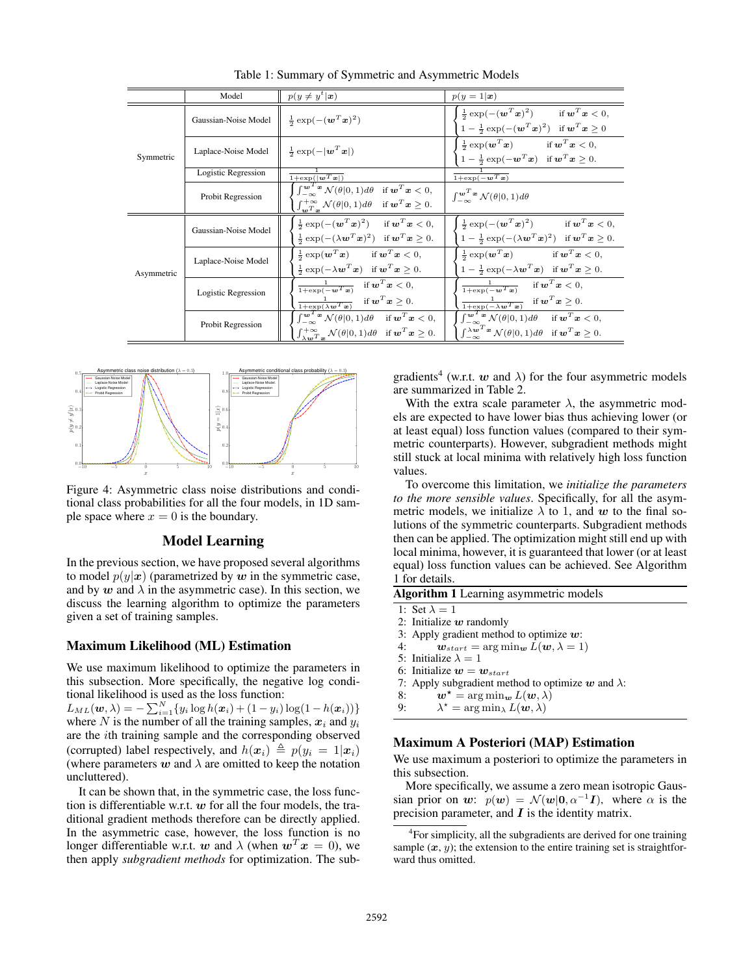|            | Model                | $p(y \neq y^t   \boldsymbol{x})$                                                                                                                                                                                                            | $p(y=1 \boldsymbol{x})$                                                                                                                                                                                                                                                                                                                                                                         |
|------------|----------------------|---------------------------------------------------------------------------------------------------------------------------------------------------------------------------------------------------------------------------------------------|-------------------------------------------------------------------------------------------------------------------------------------------------------------------------------------------------------------------------------------------------------------------------------------------------------------------------------------------------------------------------------------------------|
| Symmetric  | Gaussian-Noise Model | $\frac{1}{2}$ exp( $-(\bm{w}^T\bm{x})^2$ )                                                                                                                                                                                                  | $\frac{1}{2} \exp(-(w^T x)^2)$ if $w^T x < 0$ ,<br>$1 - \frac{1}{2} \exp(-({\bf \boldsymbol{w}}^T {\bf \boldsymbol{x}})^2)$ if ${\bf \boldsymbol{w}}^T {\bf \boldsymbol{x}} \geq 0$                                                                                                                                                                                                             |
|            | Laplace-Noise Model  | $rac{1}{2}$ exp( $- \mathbf{w}^T\mathbf{x} $ )                                                                                                                                                                                              | $\frac{1}{2} \exp(\boldsymbol{w}^T \boldsymbol{x})$ if $\boldsymbol{w}^T \boldsymbol{x} < 0$ ,<br>$1-\frac{1}{2}\exp(-\boldsymbol{w}^T\boldsymbol{x})$ if $\boldsymbol{w}^T\boldsymbol{x}\geq 0$ .                                                                                                                                                                                              |
|            | Logistic Regression  | $\frac{1+\exp( \boldsymbol{w}^T\boldsymbol{x} )}{1+\exp( \boldsymbol{w}^T\boldsymbol{x} )}$                                                                                                                                                 | $\overline{1 + \exp(-\boldsymbol{w}^T \boldsymbol{x})}$                                                                                                                                                                                                                                                                                                                                         |
|            | Probit Regression    | $\int_{-\infty}^{\omega^T \mathbf{x}} \mathcal{N}(\theta  0, 1) d\theta \quad \text{if } \mathbf{w}^T \mathbf{x} < 0,$<br>$\int_{\mathbf{w}^T \mathbf{x}}^{+\infty} \mathcal{N}(\theta  0, 1) d\theta$ if $\mathbf{w}^T \mathbf{x} \ge 0$ . | $\int_{-\infty}^{\infty} \int_{-\infty}^{\infty} \mathcal{N}(\theta   0, 1) d\theta$                                                                                                                                                                                                                                                                                                            |
| Asymmetric | Gaussian-Noise Model | $\frac{1}{2} \exp(-(\boldsymbol{w}^T \boldsymbol{x})^2) \quad \text{if } \boldsymbol{w}^T \boldsymbol{x} < 0,$<br>$\frac{1}{2} \exp(-(\lambda \boldsymbol{w}^T \boldsymbol{x})^2)$ if $\boldsymbol{w}^T \boldsymbol{x} \geq 0$ .            | $\int \frac{1}{2} \exp(-(w^T x)^2)$ if $w^T x < 0$ ,<br>$1 - \frac{1}{2} \exp(-(\lambda \boldsymbol{w}^T \boldsymbol{x})^2)$ if $\boldsymbol{w}^T \boldsymbol{x} \geq 0$ .                                                                                                                                                                                                                      |
|            | Laplace-Noise Model  | $\frac{1}{2} \exp(\boldsymbol{w}^T \boldsymbol{x})$ if $\boldsymbol{w}^T \boldsymbol{x} < 0$ ,<br>$\frac{1}{2} \exp(-\lambda \mathbf{w}^T \mathbf{x})$ if $\mathbf{w}^T \mathbf{x} \geq 0$ .                                                | $\frac{1}{2} \exp(\boldsymbol{w}^T \boldsymbol{x})$ if $\boldsymbol{w}^T \boldsymbol{x} < 0$ ,<br>$1 - \frac{1}{2} \exp(-\lambda \boldsymbol{w}^T \boldsymbol{x})$ if $\boldsymbol{w}^T \boldsymbol{x} \geq 0$ .                                                                                                                                                                                |
|            | Logistic Regression  | $\frac{1}{1+\exp(-\mathbf{w}^T\mathbf{x})} \quad \text{if } \mathbf{w}^T\mathbf{x} < 0,$<br>$\frac{1}{1+\exp(\lambda w^T x)}$ if $w^T x \geq 0$ .                                                                                           | $\frac{1}{1+\exp(-\mathbf{w}^T\mathbf{x})} \quad \text{if } \mathbf{w}^T\mathbf{x} < 0,$<br>$\frac{1}{1+\exp(-\lambda \mathbf{w}^T\mathbf{x})}$ if $\mathbf{w}^T\mathbf{x} \geq 0$ .                                                                                                                                                                                                            |
|            | Probit Regression    | $\int_{-\infty}^{\omega^T} \mathbf{x} \mathcal{N}(\theta 0,1) d\theta \quad \text{if } \mathbf{w}^T \mathbf{x} < 0,$                                                                                                                        | $\int_{-\infty}^{\omega} \mathbf{x} \mathcal{N}(\theta  0, 1) d\theta \quad \text{if } \mathbf{w}^T \mathbf{x} < 0,$<br>$\int_{\lambda m}^{+\infty} \mathcal{N}(\theta 0,1) d\theta \quad \text{if } \mathbf{w}^T\mathbf{x} \geq 0. \quad \left  \quad \right  \int_{-\infty}^{\lambda \mathbf{w}^T\mathbf{x}} \mathcal{N}(\theta 0,1) d\theta \quad \text{if } \mathbf{w}^T\mathbf{x} \geq 0.$ |

Table 1: Summary of Symmetric and Asymmetric Models



Figure 4: Asymmetric class noise distributions and conditional class probabilities for all the four models, in 1D sample space where  $x = 0$  is the boundary.

# Model Learning

In the previous section, we have proposed several algorithms to model  $p(y|x)$  (parametrized by w in the symmetric case, and by w and  $\lambda$  in the asymmetric case). In this section, we discuss the learning algorithm to optimize the parameters given a set of training samples.

### Maximum Likelihood (ML) Estimation

We use maximum likelihood to optimize the parameters in this subsection. More specifically, the negative log conditional likelihood is used as the loss function:

 $L_{ML}({\bm{w}},\lambda) = -\sum_{i=1}^{N} \{y_i \log h({\bm{x}}_i) + (1-y_i) \log (1 - h({\bm{x}}_i))\}$ where N is the number of all the training samples,  $x_i$  and  $y_i$ are the ith training sample and the corresponding observed (corrupted) label respectively, and  $h(x_i) \triangleq p(y_i = 1|x_i)$ (where parameters  $w$  and  $\lambda$  are omitted to keep the notation uncluttered).

It can be shown that, in the symmetric case, the loss function is differentiable w.r.t.  $w$  for all the four models, the traditional gradient methods therefore can be directly applied. In the asymmetric case, however, the loss function is no longer differentiable w.r.t. w and  $\lambda$  (when  $w^T x = 0$ ), we then apply *subgradient methods* for optimization. The sub-

gradients<sup>4</sup> (w.r.t. w and  $\lambda$ ) for the four asymmetric models are summarized in Table 2.

With the extra scale parameter  $\lambda$ , the asymmetric models are expected to have lower bias thus achieving lower (or at least equal) loss function values (compared to their symmetric counterparts). However, subgradient methods might still stuck at local minima with relatively high loss function values.

To overcome this limitation, we *initialize the parameters to the more sensible values*. Specifically, for all the asymmetric models, we initialize  $\lambda$  to 1, and w to the final solutions of the symmetric counterparts. Subgradient methods then can be applied. The optimization might still end up with local minima, however, it is guaranteed that lower (or at least equal) loss function values can be achieved. See Algorithm 1 for details.

|  | Algorithm 1 Learning asymmetric models |  |
|--|----------------------------------------|--|
|  |                                        |  |

- 1: Set  $\lambda = 1$
- 2: Initialize  $w$  randomly
- 3: Apply gradient method to optimize  $w$ :
- 4:  $\mathbf{w}_{start} = \arg \min_{\mathbf{w}} L(\mathbf{w}, \lambda = 1)$
- 5: Initialize  $\lambda = 1$
- 6: Initialize  $w = w_{start}$
- 7: Apply subgradient method to optimize w and  $\lambda$ :<br>8:  $\mathbf{w}^* = \arg \min_{\mathbf{w}} L(\mathbf{w}, \lambda)$
- $\mathbf{w}^{\star} = \arg \min_{\mathbf{w}} L(\mathbf{w}, \lambda)$
- 9:  $\lambda^* = \arg \min_{\lambda} L(\boldsymbol{w}, \lambda)$

## Maximum A Posteriori (MAP) Estimation

We use maximum a posteriori to optimize the parameters in this subsection.

More specifically, we assume a zero mean isotropic Gaussian prior on w:  $p(w) = \mathcal{N}(w|0, \alpha^{-1}I)$ , where  $\alpha$  is the precision parameter, and  $I$  is the identity matrix.

<sup>&</sup>lt;sup>4</sup> For simplicity, all the subgradients are derived for one training sample  $(x, y)$ ; the extension to the entire training set is straightforward thus omitted.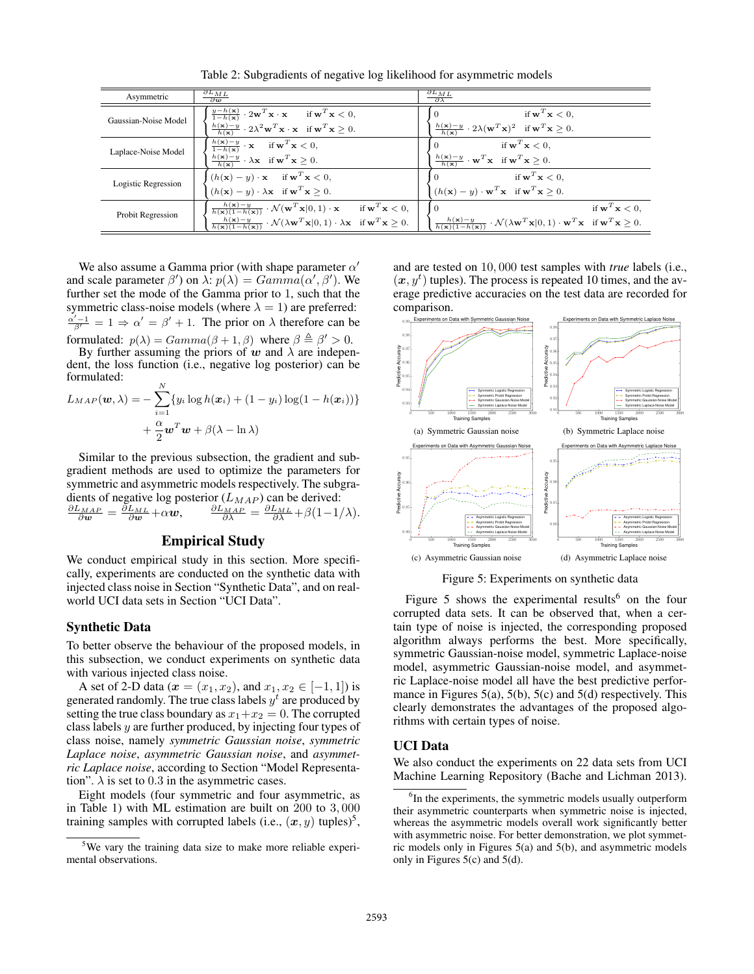| Asymmetric           | $\frac{\partial L_{ML}}{\partial \bm{w}}$                                                                                                                                                                                                                                 | $\frac{\partial L_{ML}}{\partial \lambda}$                                                                                                                                                 |
|----------------------|---------------------------------------------------------------------------------------------------------------------------------------------------------------------------------------------------------------------------------------------------------------------------|--------------------------------------------------------------------------------------------------------------------------------------------------------------------------------------------|
| Gaussian-Noise Model | $\frac{y-h(\mathbf{x})}{1-h(\mathbf{x})} \cdot 2\mathbf{w}^T \mathbf{x} \cdot \mathbf{x}$ if $\mathbf{w}^T \mathbf{x} < 0$ ,<br>$\frac{h(\mathbf{x}) - y}{h(\mathbf{x})} \cdot 2\lambda^2 \mathbf{w}^T \mathbf{x} \cdot \mathbf{x}$ if $\mathbf{w}^T \mathbf{x} \geq 0$ . | if $\mathbf{w}^T \mathbf{x} < 0$ ,<br>$\overline{0}$<br>$\frac{h(\mathbf{x}) - y}{h(\mathbf{x})} \cdot 2\lambda (\mathbf{w}^T \mathbf{x})^2$ if $\mathbf{w}^T \mathbf{x} \geq 0$ .         |
|                      | $\frac{h(\mathbf{x})-y}{1-h(\mathbf{x})} \cdot \mathbf{x}$ if $\mathbf{w}^T \mathbf{x} < 0$ ,                                                                                                                                                                             | if $\mathbf{w}^T \mathbf{x} < 0$ ,                                                                                                                                                         |
| Laplace-Noise Model  | $\frac{h(\mathbf{x})-y}{h(\mathbf{x})} \cdot \lambda \mathbf{x}$ if $\mathbf{w}^T \mathbf{x} \geq 0$ .                                                                                                                                                                    | $\frac{h(\mathbf{x})-y}{h(\mathbf{x})}\cdot \mathbf{w}^T\mathbf{x}$ if $\mathbf{w}^T\mathbf{x} \geq 0$ .                                                                                   |
| Logistic Regression  | $(h(\mathbf{x}) - y) \cdot \mathbf{x}$ if $\mathbf{w}^T \mathbf{x} < 0$ ,                                                                                                                                                                                                 | if $\mathbf{w}^T \mathbf{x} < 0$ ,                                                                                                                                                         |
|                      | $(h(\mathbf{x}) - y) \cdot \lambda \mathbf{x}$ if $\mathbf{w}^T \mathbf{x} \ge 0$ .                                                                                                                                                                                       | $(h(\mathbf{x}) - y) \cdot \mathbf{w}^T \mathbf{x}$ if $\mathbf{w}^T \mathbf{x} \ge 0$ .                                                                                                   |
| Probit Regression    | $\frac{h(\mathbf{x})-y}{h(\mathbf{x})(1-h(\mathbf{x}))} \cdot \mathcal{N}(\mathbf{w}^T \mathbf{x} 0,1) \cdot \mathbf{x}$ if $\mathbf{w}^T \mathbf{x} < 0$ ,                                                                                                               | if $\mathbf{w}^T \mathbf{x} < 0$ ,<br>$\mathbf{1} \mathbf{0}$                                                                                                                              |
|                      | $\frac{h(\mathbf{x}) - y}{h(\mathbf{x})(1 - h(\mathbf{x}))} \cdot \mathcal{N}(\lambda \mathbf{w}^T \mathbf{x}   0, 1) \cdot \lambda \mathbf{x}$ if $\mathbf{w}^T \mathbf{x} \geq 0$ .                                                                                     | $\frac{h(\mathbf{x}) - y}{h(\mathbf{x})(1 - h(\mathbf{x}))} \cdot \mathcal{N}(\lambda \mathbf{w}^T \mathbf{x}   0, 1) \cdot \mathbf{w}^T \mathbf{x}$ if $\mathbf{w}^T \mathbf{x} \geq 0$ . |

Table 2: Subgradients of negative log likelihood for asymmetric models

We also assume a Gamma prior (with shape parameter  $\alpha'$ and scale parameter  $\beta'$ ) on  $\lambda: p(\lambda) = Gamma(\alpha', \beta')$ . We further set the mode of the Gamma prior to 1, such that the symmetric class-noise models (where  $\lambda = 1$ ) are preferred:  $\alpha'$  – 1  $\frac{\gamma-1}{\beta'} = 1 \Rightarrow \alpha' = \beta' + 1$ . The prior on  $\lambda$  therefore can be formulated:  $p(\lambda) = Gamma(\beta + 1, \beta)$  where  $\beta \triangleq \beta' > 0$ .

By further assuming the priors of w and  $\lambda$  are independent, the loss function (i.e., negative log posterior) can be formulated:

$$
L_{MAP}(\boldsymbol{w}, \lambda) = -\sum_{i=1}^{N} \{y_i \log h(\boldsymbol{x}_i) + (1 - y_i) \log(1 - h(\boldsymbol{x}_i))\}
$$

$$
+ \frac{\alpha}{2} \boldsymbol{w}^T \boldsymbol{w} + \beta(\lambda - \ln \lambda)
$$

Similar to the previous subsection, the gradient and subgradient methods are used to optimize the parameters for symmetric and asymmetric models respectively. The subgradients of negative log posterior  $(L_{MAP})$  can be derived:<br>  $\frac{\partial L_{MAP}}{\partial w} = \frac{\partial L_{ML}}{\partial w} + \alpha w$ ,  $\frac{\partial L_{MAP}}{\partial \lambda} = \frac{\partial L_{ML}}{\partial \lambda} + \beta(1-1/\lambda)$ .

## Empirical Study

We conduct empirical study in this section. More specifically, experiments are conducted on the synthetic data with injected class noise in Section "Synthetic Data", and on realworld UCI data sets in Section "UCI Data".

### Synthetic Data

To better observe the behaviour of the proposed models, in this subsection, we conduct experiments on synthetic data with various injected class noise.

A set of 2-D data ( $x = (x_1, x_2)$ , and  $x_1, x_2 \in [-1, 1]$ ) is generated randomly. The true class labels  $y^t$  are produced by setting the true class boundary as  $x_1+x_2=0$ . The corrupted class labels y are further produced, by injecting four types of class noise, namely *symmetric Gaussian noise*, *symmetric Laplace noise*, *asymmetric Gaussian noise*, and *asymmetric Laplace noise*, according to Section "Model Representation".  $\lambda$  is set to 0.3 in the asymmetric cases.

Eight models (four symmetric and four asymmetric, as in Table 1) with ML estimation are built on 200 to 3, 000 training samples with corrupted labels (i.e.,  $(x, y)$  tuples)<sup>5</sup>,

and are tested on 10, 000 test samples with *true* labels (i.e.,  $(x, y<sup>t</sup>)$  tuples). The process is repeated 10 times, and the average predictive accuracies on the test data are recorded for comparison.



Figure 5: Experiments on synthetic data

Figure 5 shows the experimental results<sup>6</sup> on the four corrupted data sets. It can be observed that, when a certain type of noise is injected, the corresponding proposed algorithm always performs the best. More specifically, symmetric Gaussian-noise model, symmetric Laplace-noise model, asymmetric Gaussian-noise model, and asymmetric Laplace-noise model all have the best predictive performance in Figures 5(a), 5(b), 5(c) and 5(d) respectively. This clearly demonstrates the advantages of the proposed algorithms with certain types of noise.

#### UCI Data

We also conduct the experiments on 22 data sets from UCI Machine Learning Repository (Bache and Lichman 2013).

<sup>&</sup>lt;sup>5</sup>We vary the training data size to make more reliable experimental observations.

<sup>&</sup>lt;sup>6</sup>In the experiments, the symmetric models usually outperform their asymmetric counterparts when symmetric noise is injected, whereas the asymmetric models overall work significantly better with asymmetric noise. For better demonstration, we plot symmetric models only in Figures 5(a) and 5(b), and asymmetric models only in Figures 5(c) and 5(d).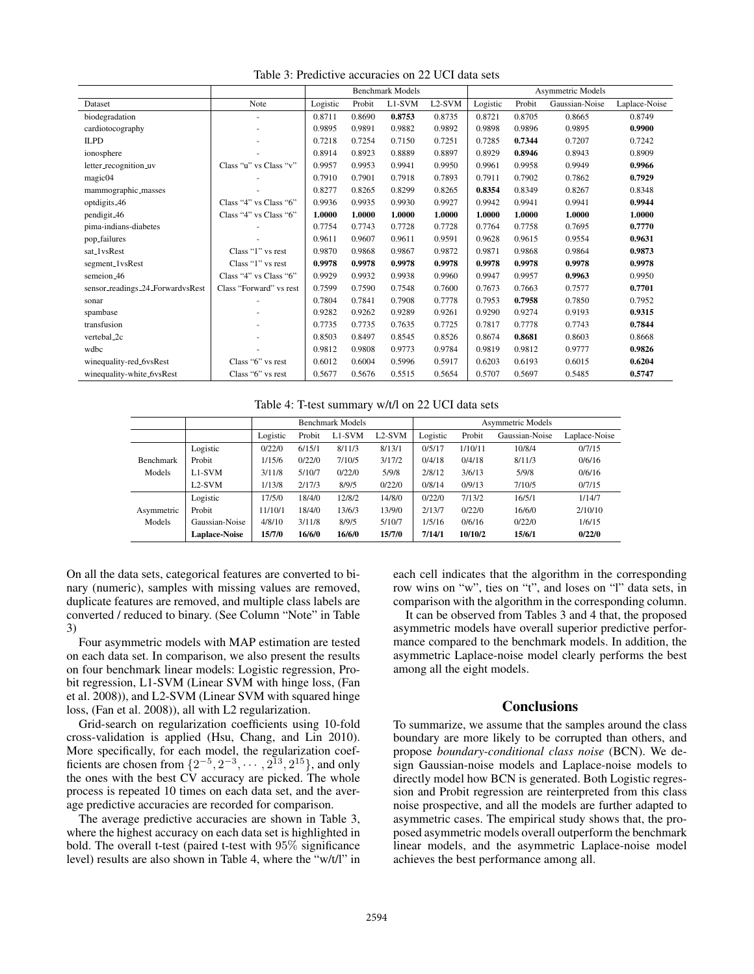| Table 3: Predictive accuracies on 22 UCI data sets |
|----------------------------------------------------|
|----------------------------------------------------|

|                                  |                         | <b>Benchmark Models</b> |        |        | <b>Asymmetric Models</b> |          |        |                |               |
|----------------------------------|-------------------------|-------------------------|--------|--------|--------------------------|----------|--------|----------------|---------------|
| Dataset                          | Note                    | Logistic                | Probit | L1-SVM | $L2-SVM$                 | Logistic | Probit | Gaussian-Noise | Laplace-Noise |
| biodegradation                   | ٠                       | 0.8711                  | 0.8690 | 0.8753 | 0.8735                   | 0.8721   | 0.8705 | 0.8665         | 0.8749        |
| cardiotocography                 |                         | 0.9895                  | 0.9891 | 0.9882 | 0.9892                   | 0.9898   | 0.9896 | 0.9895         | 0.9900        |
| <b>ILPD</b>                      |                         | 0.7218                  | 0.7254 | 0.7150 | 0.7251                   | 0.7285   | 0.7344 | 0.7207         | 0.7242        |
| ionosphere                       |                         | 0.8914                  | 0.8923 | 0.8889 | 0.8897                   | 0.8929   | 0.8946 | 0.8943         | 0.8909        |
| letter_recognition_uv            | Class "u" vs Class "v"  | 0.9957                  | 0.9953 | 0.9941 | 0.9950                   | 0.9961   | 0.9958 | 0.9949         | 0.9966        |
| magic04                          |                         | 0.7910                  | 0.7901 | 0.7918 | 0.7893                   | 0.7911   | 0.7902 | 0.7862         | 0.7929        |
| mammographic_masses              |                         | 0.8277                  | 0.8265 | 0.8299 | 0.8265                   | 0.8354   | 0.8349 | 0.8267         | 0.8348        |
| optdigits 46                     | Class "4" vs Class "6"  | 0.9936                  | 0.9935 | 0.9930 | 0.9927                   | 0.9942   | 0.9941 | 0.9941         | 0.9944        |
| pendigit <sub>-46</sub>          | Class "4" vs Class "6"  | 1.0000                  | 1.0000 | 1.0000 | 1.0000                   | 1.0000   | 1.0000 | 1.0000         | 1.0000        |
| pima-indians-diabetes            |                         | 0.7754                  | 0.7743 | 0.7728 | 0.7728                   | 0.7764   | 0.7758 | 0.7695         | 0.7770        |
| pop_failures                     |                         | 0.9611                  | 0.9607 | 0.9611 | 0.9591                   | 0.9628   | 0.9615 | 0.9554         | 0.9631        |
| sat_1vsRest                      | Class "1" vs rest       | 0.9870                  | 0.9868 | 0.9867 | 0.9872                   | 0.9871   | 0.9868 | 0.9864         | 0.9873        |
| segment_1vsRest                  | Class "1" vs rest       | 0.9978                  | 0.9978 | 0.9978 | 0.9978                   | 0.9978   | 0.9978 | 0.9978         | 0.9978        |
| semeion <sub>-46</sub>           | Class "4" vs Class "6"  | 0.9929                  | 0.9932 | 0.9938 | 0.9960                   | 0.9947   | 0.9957 | 0.9963         | 0.9950        |
| sensor_readings_24_ForwardvsRest | Class "Forward" vs rest | 0.7599                  | 0.7590 | 0.7548 | 0.7600                   | 0.7673   | 0.7663 | 0.7577         | 0.7701        |
| sonar                            |                         | 0.7804                  | 0.7841 | 0.7908 | 0.7778                   | 0.7953   | 0.7958 | 0.7850         | 0.7952        |
| spambase                         |                         | 0.9282                  | 0.9262 | 0.9289 | 0.9261                   | 0.9290   | 0.9274 | 0.9193         | 0.9315        |
| transfusion                      |                         | 0.7735                  | 0.7735 | 0.7635 | 0.7725                   | 0.7817   | 0.7778 | 0.7743         | 0.7844        |
| vertebal_2c                      |                         | 0.8503                  | 0.8497 | 0.8545 | 0.8526                   | 0.8674   | 0.8681 | 0.8603         | 0.8668        |
| wdbc                             |                         | 0.9812                  | 0.9808 | 0.9773 | 0.9784                   | 0.9819   | 0.9812 | 0.9777         | 0.9826        |
| winequality-red_6vsRest          | Class "6" vs rest       | 0.6012                  | 0.6004 | 0.5996 | 0.5917                   | 0.6203   | 0.6193 | 0.6015         | 0.6204        |
| winequality-white_6vsRest        | Class "6" vs rest       | 0.5677                  | 0.5676 | 0.5515 | 0.5654                   | 0.5707   | 0.5697 | 0.5485         | 0.5747        |

Table 4: T-test summary w/t/l on 22 UCI data sets

|                  |                      | <b>Benchmark Models</b> |        |        |                     | <b>Asymmetric Models</b> |         |                |               |
|------------------|----------------------|-------------------------|--------|--------|---------------------|--------------------------|---------|----------------|---------------|
|                  |                      | Logistic                | Probit | L1-SVM | L <sub>2</sub> -SVM | Logistic                 | Probit  | Gaussian-Noise | Laplace-Noise |
|                  | Logistic             | 0/22/0                  | 6/15/1 | 8/11/3 | 8/13/1              | 0/5/17                   | 1/10/11 | 10/8/4         | 0/7/15        |
| <b>Benchmark</b> | Probit               | 1/15/6                  | 0/22/0 | 7/10/5 | 3/17/2              | 0/4/18                   | 0/4/18  | 8/11/3         | 0/6/16        |
| Models           | L1-SVM               | 3/11/8                  | 5/10/7 | 0/22/0 | 5/9/8               | 2/8/12                   | 3/6/13  | 5/9/8          | 0/6/16        |
|                  | $L2-SVM$             | 1/13/8                  | 2/17/3 | 8/9/5  | 0/22/0              | 0/8/14                   | 0/9/13  | 7/10/5         | 0/7/15        |
|                  | Logistic             | 7/5/0                   | 18/4/0 | 12/8/2 | 14/8/0              | 0/22/0                   | 7/13/2  | 16/5/1         | 1/14/7        |
| Asymmetric       | Probit               | 11/10/1                 | 18/4/0 | 13/6/3 | 13/9/0              | 2/13/7                   | 0/22/0  | 16/6/0         | 2/10/10       |
| Models           | Gaussian-Noise       | 4/8/10                  | 3/11/8 | 8/9/5  | 5/10/7              | 1/5/16                   | 0/6/16  | 0/22/0         | 1/6/15        |
|                  | <b>Laplace-Noise</b> | 15/7/0                  | 16/6/0 | 16/6/0 | 15/7/0              | 7/14/1                   | 10/10/2 | 15/6/1         | 0/22/0        |

On all the data sets, categorical features are converted to binary (numeric), samples with missing values are removed, duplicate features are removed, and multiple class labels are converted / reduced to binary. (See Column "Note" in Table 3)

Four asymmetric models with MAP estimation are tested on each data set. In comparison, we also present the results on four benchmark linear models: Logistic regression, Probit regression, L1-SVM (Linear SVM with hinge loss, (Fan et al. 2008)), and L2-SVM (Linear SVM with squared hinge loss, (Fan et al. 2008)), all with L2 regularization.

Grid-search on regularization coefficients using 10-fold cross-validation is applied (Hsu, Chang, and Lin 2010). More specifically, for each model, the regularization coefficients are chosen from  $\{2^{-5}, 2^{-3}, \cdots, 2^{13}, 2^{15}\}$ , and only the ones with the best CV accuracy are picked. The whole process is repeated 10 times on each data set, and the average predictive accuracies are recorded for comparison.

The average predictive accuracies are shown in Table 3, where the highest accuracy on each data set is highlighted in bold. The overall t-test (paired t-test with 95% significance level) results are also shown in Table 4, where the "w/t/l" in

each cell indicates that the algorithm in the corresponding row wins on "w", ties on "t", and loses on "l" data sets, in comparison with the algorithm in the corresponding column.

It can be observed from Tables 3 and 4 that, the proposed asymmetric models have overall superior predictive performance compared to the benchmark models. In addition, the asymmetric Laplace-noise model clearly performs the best among all the eight models.

# **Conclusions**

To summarize, we assume that the samples around the class boundary are more likely to be corrupted than others, and propose *boundary-conditional class noise* (BCN). We design Gaussian-noise models and Laplace-noise models to directly model how BCN is generated. Both Logistic regression and Probit regression are reinterpreted from this class noise prospective, and all the models are further adapted to asymmetric cases. The empirical study shows that, the proposed asymmetric models overall outperform the benchmark linear models, and the asymmetric Laplace-noise model achieves the best performance among all.